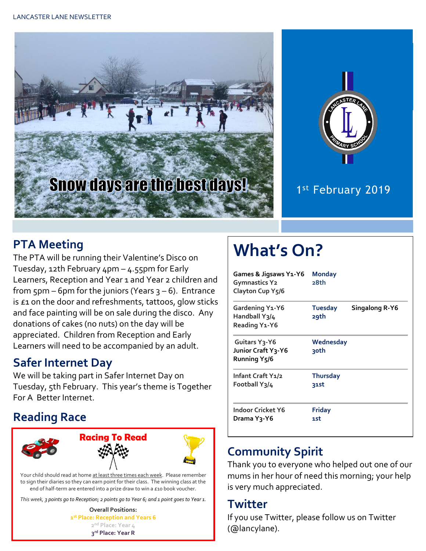



## 1st February 2019

#### **PTA Meeting**

The PTA will be running their Valentine's Disco on Tuesday, 12th February 4pm – 4.55pm for Early Learners, Reception and Year 1 and Year 2 children and from  $5p$ m – 6pm for the juniors (Years  $3 - 6$ ). Entrance is £1 on the door and refreshments, tattoos, glow sticks and face painting will be on sale during the disco. Any donations of cakes (no nuts) on the day will be appreciated. Children from Reception and Early Learners will need to be accompanied by an adult.

#### **Safer Internet Day**

We will be taking part in Safer Internet Day on Tuesday, 5th February. This year's theme is Together For A Better Internet.

#### **Reading Race**



Your child should read at home at least three times each week. Please remember to sign their diaries so they can earn point for their class. The winning class at the end of half-term are entered into a prize draw to win a £10 book voucher.

*This week, 3 points go to Reception; 2 points go to Year 6; and 1 point goes to Year 1.*

**Overall Positions: st Place: Reception and Years 6 nd Place: Year 4 rd Place: Year R**

# **What's On?**

| Games & Jigsaws Y1-Y6<br>Gymnastics Y2<br>Clayton Cup Y5/6       | <b>Monday</b><br>28th   |                |
|------------------------------------------------------------------|-------------------------|----------------|
| Gardening Y1-Y6<br>Handball Y3/4<br>Reading Y1-Y6                | <b>Tuesday</b><br>29th  | Singalong R-Y6 |
| Guitars Y <sub>3</sub> -Y6<br>Junior Craft Y3-Y6<br>Running Y5/6 | Wednesday<br>२०th       |                |
| Infant Craft Y1/2<br>Football Y3/4                               | <b>Thursday</b><br>31st |                |
| Indoor Cricket Y6<br>Drama Y3-Y6                                 | <b>Friday</b><br>1st    |                |

#### **Community Spirit**

Thank you to everyone who helped out one of our mums in her hour of need this morning; your help is very much appreciated.

#### **Twitter**

If you use Twitter, please follow us on Twitter (@lancylane).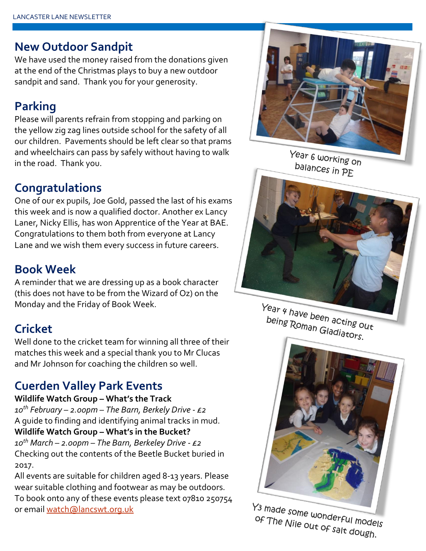#### **New Outdoor Sandpit**

We have used the money raised from the donations given at the end of the Christmas plays to buy a new outdoor sandpit and sand. Thank you for your generosity.

## **Parking**

Please will parents refrain from stopping and parking on the yellow zig zag lines outside school for the safety of all our children. Pavements should be left clear so that prams and wheelchairs can pass by safely without having to walk in the road. Thank you.

#### **Congratulations**

One of our ex pupils, Joe Gold, passed the last of his exams this week and is now a qualified doctor. Another ex Lancy Laner, Nicky Ellis, has won Apprentice of the Year at BAE. Congratulations to them both from everyone at Lancy Lane and we wish them every success in future careers.

## **Book Week**

A reminder that we are dressing up as a book character (this does not have to be from the Wizard of Oz) on the Monday and the Friday of Book Week.

# **Cricket**

Well done to the cricket team for winning all three of their matches this week and a special thank you to Mr Clucas and Mr Johnson for coaching the children so well.

## **Cuerden Valley Park Events**

#### **Wildlife Watch Group – What's the Track**

*10th February – 2.00pm – The Barn, Berkely Drive - £2* A guide to finding and identifying animal tracks in mud. **Wildlife Watch Group – What's in the Bucket?** *10th March – 2.00pm – The Barn, Berkeley Drive - £2* Checking out the contents of the Beetle Bucket buried in 2017.

All events are suitable for children aged 8-13 years. Please wear suitable clothing and footwear as may be outdoors. To book onto any of these events please text 07810 250754 or email [watch@lancswt.org.uk](mailto:watch@lancswt.org.uk)



Year 6 working on balances in PE

Year 4 have been acting out being Roman Gladiators.



Y<sub>3</sub> made some wonderful models of The Nile out of salt dough.